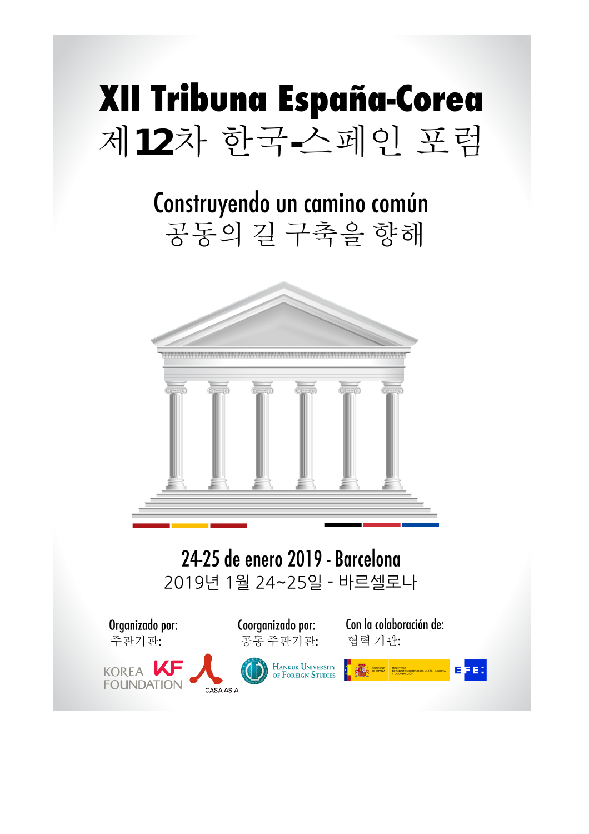

### Construyendo un camino común 공동의 길 구축을 향해



24-25 de enero 2019 - Barcelona 2019년 1월 24~25일 - 바르셀로나

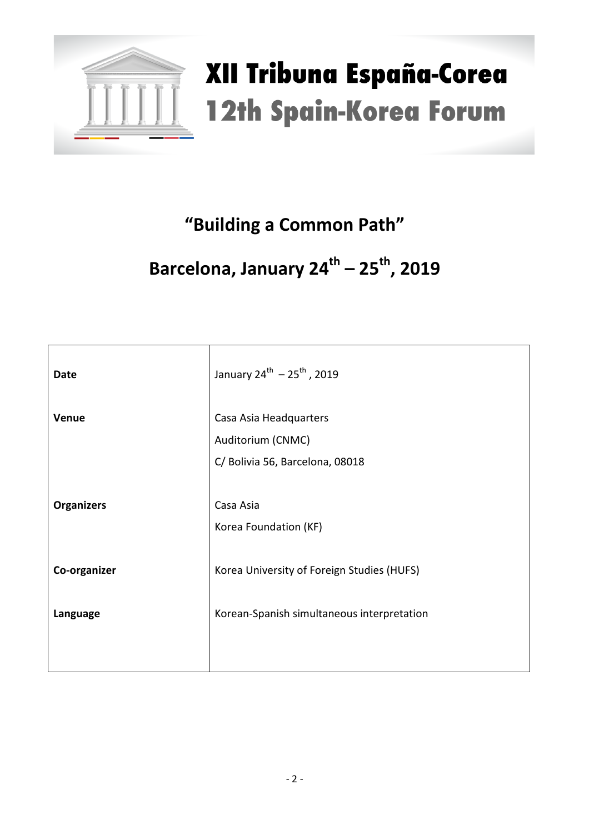

### **"Building a Common Path"**

### **Barcelona, January 24th – 25th, 2019**

| <b>Date</b>       | January $24^{th} - 25^{th}$ , 2019                                             |
|-------------------|--------------------------------------------------------------------------------|
| Venue             | Casa Asia Headquarters<br>Auditorium (CNMC)<br>C/ Bolivia 56, Barcelona, 08018 |
| <b>Organizers</b> | Casa Asia<br>Korea Foundation (KF)                                             |
| Co-organizer      | Korea University of Foreign Studies (HUFS)                                     |
| Language          | Korean-Spanish simultaneous interpretation                                     |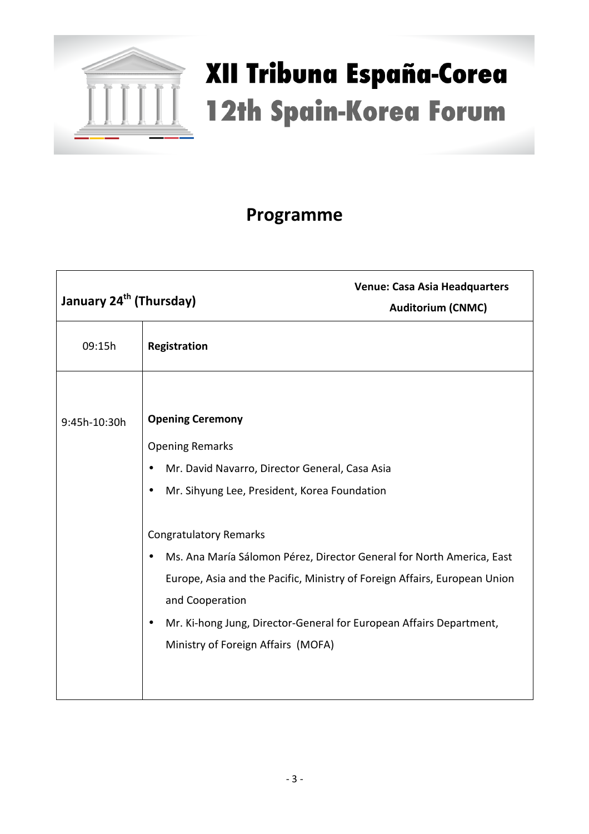

### **Programme**

|              | <b>Venue: Casa Asia Headquarters</b><br>January 24 <sup>th</sup> (Thursday)<br><b>Auditorium (CNMC)</b>                                                                                                                                                                                                                                                                                                                                                                                              |  |
|--------------|------------------------------------------------------------------------------------------------------------------------------------------------------------------------------------------------------------------------------------------------------------------------------------------------------------------------------------------------------------------------------------------------------------------------------------------------------------------------------------------------------|--|
| 09:15h       | Registration                                                                                                                                                                                                                                                                                                                                                                                                                                                                                         |  |
| 9:45h-10:30h | <b>Opening Ceremony</b><br><b>Opening Remarks</b><br>Mr. David Navarro, Director General, Casa Asia<br>$\bullet$<br>Mr. Sihyung Lee, President, Korea Foundation<br>$\bullet$<br><b>Congratulatory Remarks</b><br>Ms. Ana María Sálomon Pérez, Director General for North America, East<br>Europe, Asia and the Pacific, Ministry of Foreign Affairs, European Union<br>and Cooperation<br>Mr. Ki-hong Jung, Director-General for European Affairs Department,<br>Ministry of Foreign Affairs (MOFA) |  |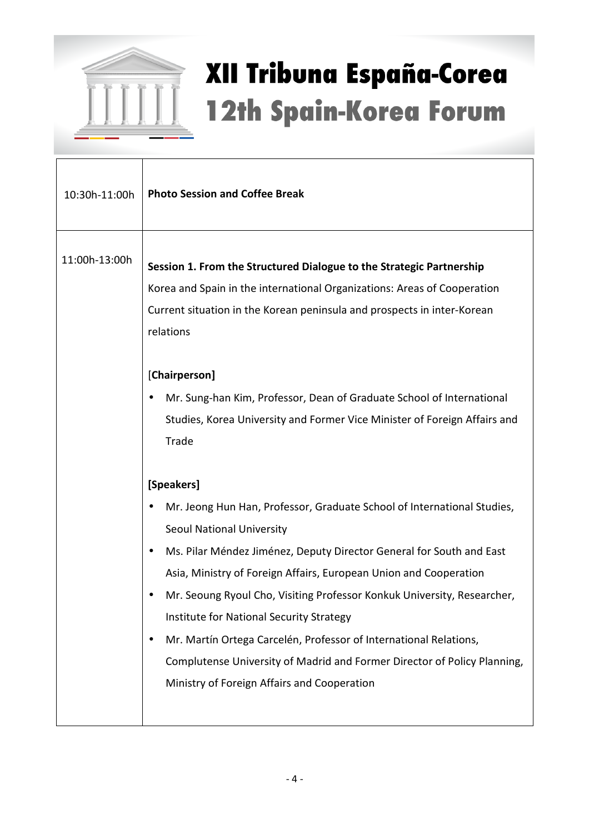

| 10:30h-11:00h | <b>Photo Session and Coffee Break</b>                                                                                                                                                                                                                                                                                                                                                                                                                                                                                                                                                                                                                                                                                                                                                                                                                                                                                                                                                                              |
|---------------|--------------------------------------------------------------------------------------------------------------------------------------------------------------------------------------------------------------------------------------------------------------------------------------------------------------------------------------------------------------------------------------------------------------------------------------------------------------------------------------------------------------------------------------------------------------------------------------------------------------------------------------------------------------------------------------------------------------------------------------------------------------------------------------------------------------------------------------------------------------------------------------------------------------------------------------------------------------------------------------------------------------------|
| 11:00h-13:00h | Session 1. From the Structured Dialogue to the Strategic Partnership<br>Korea and Spain in the international Organizations: Areas of Cooperation<br>Current situation in the Korean peninsula and prospects in inter-Korean<br>relations<br>[Chairperson]<br>Mr. Sung-han Kim, Professor, Dean of Graduate School of International<br>Studies, Korea University and Former Vice Minister of Foreign Affairs and<br>Trade<br>[Speakers]<br>Mr. Jeong Hun Han, Professor, Graduate School of International Studies,<br>Seoul National University<br>Ms. Pilar Méndez Jiménez, Deputy Director General for South and East<br>Asia, Ministry of Foreign Affairs, European Union and Cooperation<br>Mr. Seoung Ryoul Cho, Visiting Professor Konkuk University, Researcher,<br>Institute for National Security Strategy<br>Mr. Martín Ortega Carcelén, Professor of International Relations,<br>Complutense University of Madrid and Former Director of Policy Planning,<br>Ministry of Foreign Affairs and Cooperation |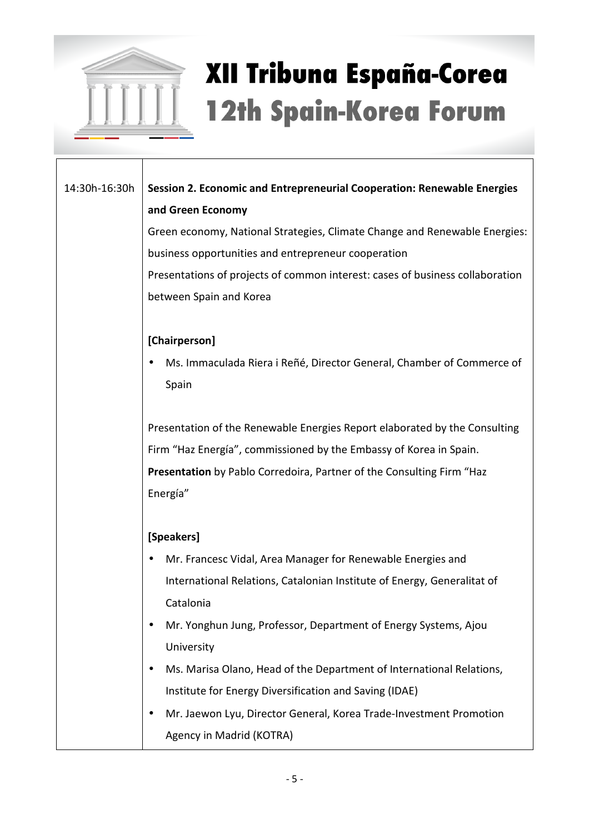

14:30h-16:30h **Session 2. Economic and Entrepreneurial Cooperation: Renewable Energies and Green Economy**  Green economy, National Strategies, Climate Change and Renewable Energies: business opportunities and entrepreneur cooperation

> Presentations of projects of common interest: cases of business collaboration between Spain and Korea

### **[Chairperson]**

• Ms. Immaculada Riera i Reñé, Director General, Chamber of Commerce of Spain

Presentation of the Renewable Energies Report elaborated by the Consulting Firm "Haz Energía", commissioned by the Embassy of Korea in Spain. **Presentation** by Pablo Corredoira, Partner of the Consulting Firm "Haz Energía"

### **[Speakers]**

- Mr. Francesc Vidal, Area Manager for Renewable Energies and International Relations, Catalonian Institute of Energy, Generalitat of Catalonia
- Mr. Yonghun Jung, Professor, Department of Energy Systems, Ajou University
- Ms. Marisa Olano, Head of the Department of International Relations, Institute for Energy Diversification and Saving (IDAE)
- Mr. Jaewon Lyu, Director General, Korea Trade-Investment Promotion Agency in Madrid (KOTRA)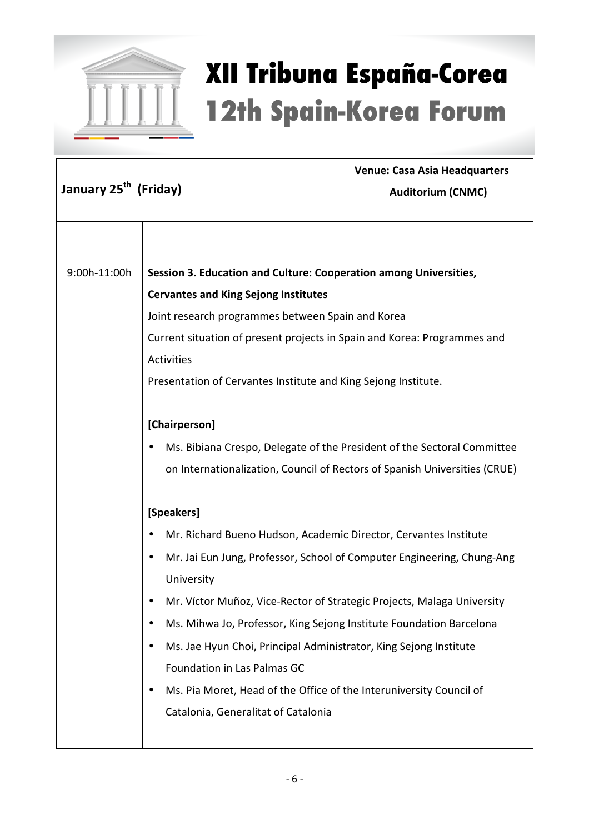

|                                   | <b>Venue: Casa Asia Headquarters</b>                                       |
|-----------------------------------|----------------------------------------------------------------------------|
| January 25 <sup>th</sup> (Friday) | Auditorium (CNMC)                                                          |
|                                   |                                                                            |
|                                   |                                                                            |
|                                   |                                                                            |
| 9:00h-11:00h                      | Session 3. Education and Culture: Cooperation among Universities,          |
|                                   | <b>Cervantes and King Sejong Institutes</b>                                |
|                                   | Joint research programmes between Spain and Korea                          |
|                                   | Current situation of present projects in Spain and Korea: Programmes and   |
|                                   | <b>Activities</b>                                                          |
|                                   | Presentation of Cervantes Institute and King Sejong Institute.             |
|                                   |                                                                            |
|                                   | [Chairperson]                                                              |
|                                   | Ms. Bibiana Crespo, Delegate of the President of the Sectoral Committee    |
|                                   | on Internationalization, Council of Rectors of Spanish Universities (CRUE) |
|                                   |                                                                            |
|                                   | [Speakers]                                                                 |
|                                   | Mr. Richard Bueno Hudson, Academic Director, Cervantes Institute           |
|                                   | Mr. Jai Eun Jung, Professor, School of Computer Engineering, Chung-Ang     |
|                                   | University                                                                 |
|                                   | Mr. Víctor Muñoz, Vice-Rector of Strategic Projects, Malaga University     |
|                                   | Ms. Mihwa Jo, Professor, King Sejong Institute Foundation Barcelona        |
|                                   | Ms. Jae Hyun Choi, Principal Administrator, King Sejong Institute          |
|                                   | Foundation in Las Palmas GC                                                |
|                                   | Ms. Pia Moret, Head of the Office of the Interuniversity Council of        |
|                                   | Catalonia, Generalitat of Catalonia                                        |
|                                   |                                                                            |
|                                   |                                                                            |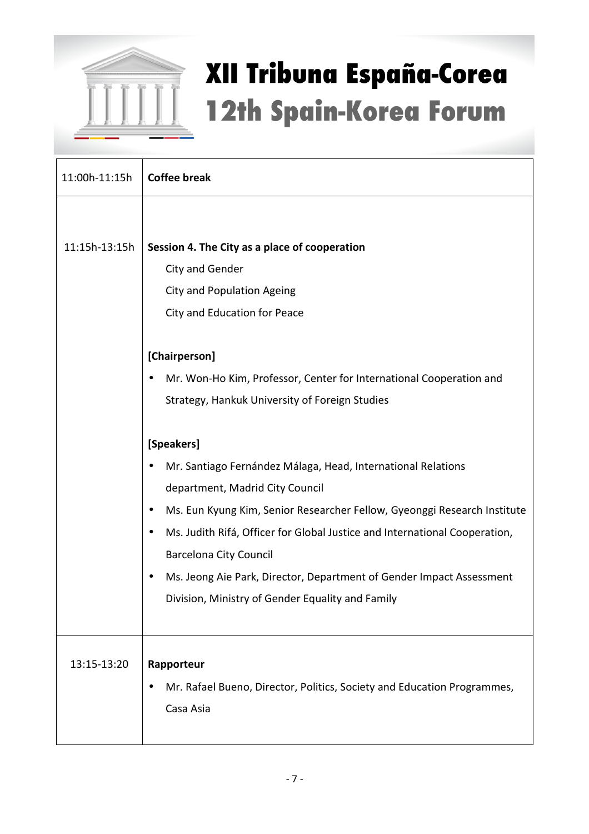

| 11:00h-11:15h | <b>Coffee break</b>                                                                     |
|---------------|-----------------------------------------------------------------------------------------|
|               |                                                                                         |
| 11:15h-13:15h | Session 4. The City as a place of cooperation                                           |
|               | City and Gender                                                                         |
|               | <b>City and Population Ageing</b>                                                       |
|               | City and Education for Peace                                                            |
|               | [Chairperson]                                                                           |
|               | Mr. Won-Ho Kim, Professor, Center for International Cooperation and                     |
|               | Strategy, Hankuk University of Foreign Studies                                          |
|               |                                                                                         |
|               | [Speakers]                                                                              |
|               | Mr. Santiago Fernández Málaga, Head, International Relations                            |
|               | department, Madrid City Council                                                         |
|               | Ms. Eun Kyung Kim, Senior Researcher Fellow, Gyeonggi Research Institute                |
|               | Ms. Judith Rifá, Officer for Global Justice and International Cooperation,<br>$\bullet$ |
|               | <b>Barcelona City Council</b>                                                           |
|               | Ms. Jeong Aie Park, Director, Department of Gender Impact Assessment                    |
|               | Division, Ministry of Gender Equality and Family                                        |
|               |                                                                                         |
|               |                                                                                         |
| 13:15-13:20   | Rapporteur                                                                              |
|               | Mr. Rafael Bueno, Director, Politics, Society and Education Programmes,                 |
|               | Casa Asia                                                                               |
|               |                                                                                         |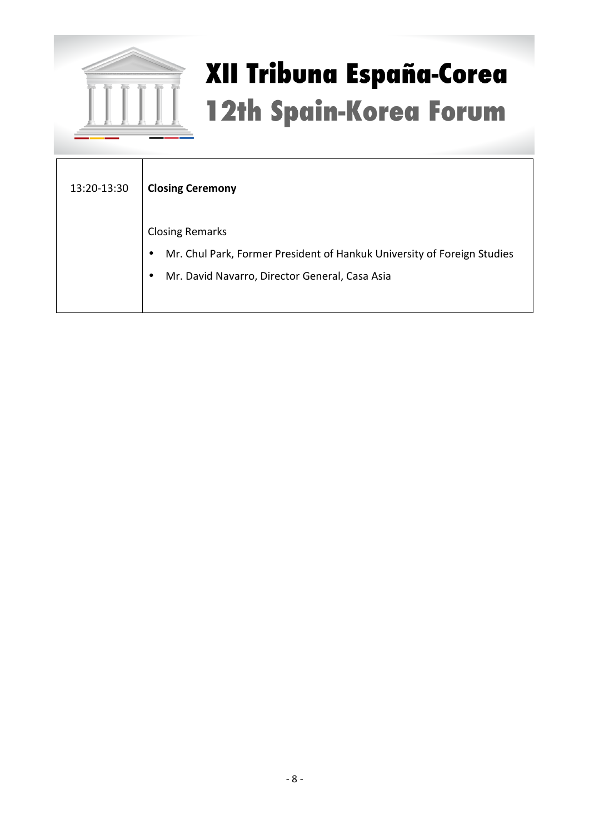

| 13:20-13:30 | <b>Closing Ceremony</b>                                                                                                                                                       |
|-------------|-------------------------------------------------------------------------------------------------------------------------------------------------------------------------------|
|             | <b>Closing Remarks</b><br>Mr. Chul Park, Former President of Hankuk University of Foreign Studies<br>$\bullet$<br>Mr. David Navarro, Director General, Casa Asia<br>$\bullet$ |